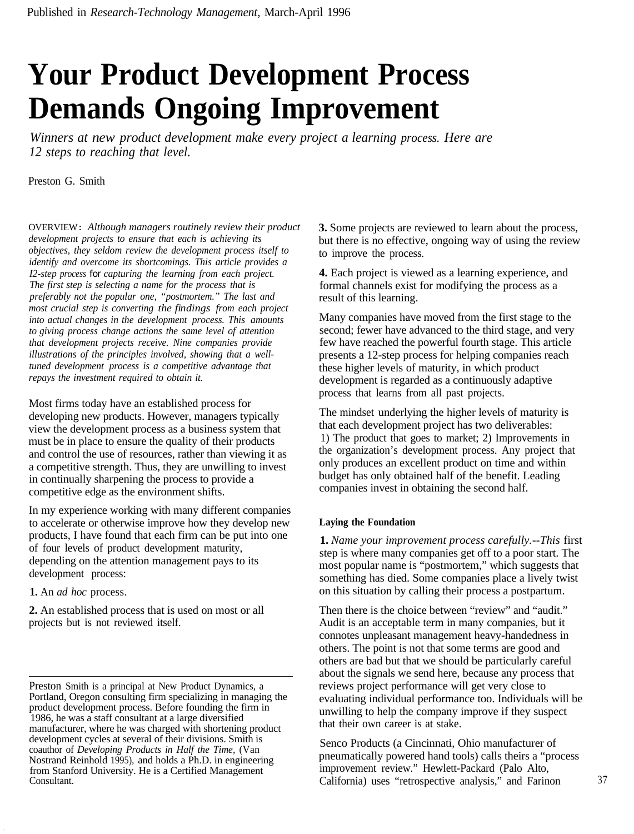# **Your Product Development Process Demands Ongoing Improvement**

*Winners at new product development make every project a learning process. Here are 12 steps to reaching that level.*

Preston G. Smith

OVERVIEW**:** *Although managers routinely review their product development projects to ensure that each is achieving its objectives, they seldom review the development process itself to identify and overcome its shortcomings. This article provides a I2-step process for capturing the learning from each project. The first step is selecting a name for the process that is preferably not the popular one, "postmortem." The last and most crucial step is converting the findings from each project into actual changes in the development process. This amounts to giving process change actions the same level of attention that development projects receive. Nine companies provide illustrations of the principles involved, showing that a welltuned development process is a competitive advantage that repays the investment required to obtain it.*

Most firms today have an established process for developing new products. However, managers typically view the development process as a business system that must be in place to ensure the quality of their products and control the use of resources, rather than viewing it as a competitive strength. Thus, they are unwilling to invest in continually sharpening the process to provide a competitive edge as the environment shifts.

In my experience working with many different companies to accelerate or otherwise improve how they develop new products, I have found that each firm can be put into one of four levels of product development maturity, depending on the attention management pays to its development process:

**1.** An *ad hoc* process.

**2.** An established process that is used on most or all projects but is not reviewed itself.

**3.** Some projects are reviewed to learn about the process, but there is no effective, ongoing way of using the review to improve the process.

**4.** Each project is viewed as a learning experience, and formal channels exist for modifying the process as a result of this learning.

Many companies have moved from the first stage to the second; fewer have advanced to the third stage, and very few have reached the powerful fourth stage. This article presents a 12-step process for helping companies reach these higher levels of maturity, in which product development is regarded as a continuously adaptive process that learns from all past projects.

The mindset underlying the higher levels of maturity is that each development project has two deliverables: 1) The product that goes to market; 2) Improvements in the organization's development process. Any project that only produces an excellent product on time and within budget has only obtained half of the benefit. Leading companies invest in obtaining the second half.

# **Laying the Foundation**

**1.** *Name your improvement process carefully.--This* first step is where many companies get off to a poor start. The most popular name is "postmortem," which suggests that something has died. Some companies place a lively twist on this situation by calling their process a postpartum.

Then there is the choice between "review" and "audit." Audit is an acceptable term in many companies, but it connotes unpleasant management heavy-handedness in others. The point is not that some terms are good and others are bad but that we should be particularly careful about the signals we send here, because any process that reviews project performance will get very close to evaluating individual performance too. Individuals will be unwilling to help the company improve if they suspect that their own career is at stake.

Senco Products (a Cincinnati, Ohio manufacturer of pneumatically powered hand tools) calls theirs a "process improvement review." Hewlett-Packard (Palo Alto, California) uses "retrospective analysis," and Farinon 37

Preston Smith is a principal at New Product Dynamics, a Portland, Oregon consulting firm specializing in managing the product development process. Before founding the firm in 1986, he was a staff consultant at a large diversified manufacturer, where he was charged with shortening product development cycles at several of their divisions. Smith is coauthor of *Developing Products in Half the Time,* (Van Nostrand Reinhold 1995), and holds a Ph.D. in engineering from Stanford University. He is a Certified Management Consultant.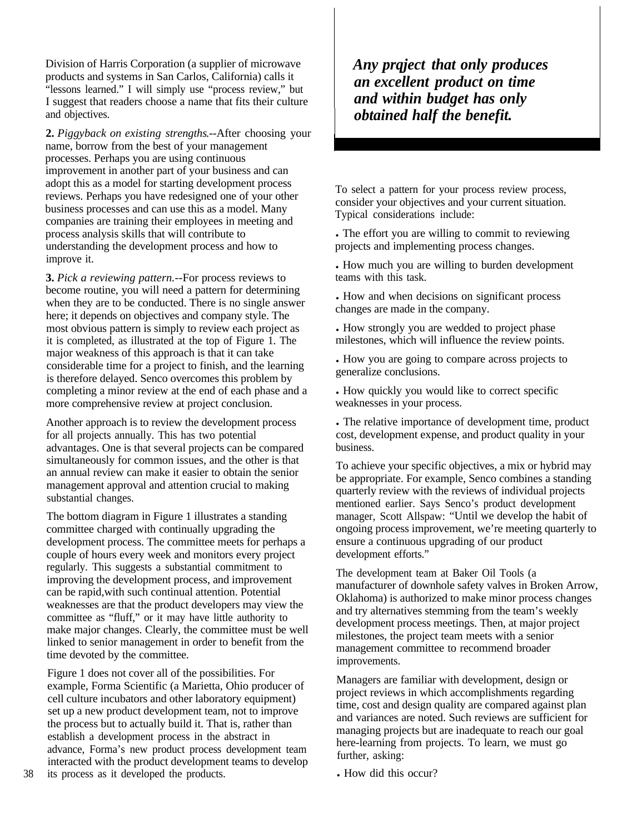Division of Harris Corporation (a supplier of microwave products and systems in San Carlos, California) calls it "lessons learned." I will simply use "process review," but I suggest that readers choose a name that fits their culture and objectives.

**2.** *Piggyback on existing strengths*.--After choosing your name, borrow from the best of your management processes. Perhaps you are using continuous improvement in another part of your business and can adopt this as a model for starting development process reviews. Perhaps you have redesigned one of your other business processes and can use this as a model. Many companies are training their employees in meeting and process analysis skills that will contribute to understanding the development process and how to improve it.

**3.** *Pick a reviewing pattern.--*For process reviews to become routine, you will need a pattern for determining when they are to be conducted. There is no single answer here; it depends on objectives and company style. The most obvious pattern is simply to review each project as it is completed, as illustrated at the top of Figure 1. The major weakness of this approach is that it can take considerable time for a project to finish, and the learning is therefore delayed. Senco overcomes this problem by completing a minor review at the end of each phase and a more comprehensive review at project conclusion.

Another approach is to review the development process for all projects annually. This has two potential advantages. One is that several projects can be compared simultaneously for common issues, and the other is that an annual review can make it easier to obtain the senior management approval and attention crucial to making substantial changes.

The bottom diagram in Figure 1 illustrates a standing committee charged with continually upgrading the development process. The committee meets for perhaps a couple of hours every week and monitors every project regularly. This suggests a substantial commitment to improving the development process, and improvement can be rapid,with such continual attention. Potential weaknesses are that the product developers may view the committee as "fluff," or it may have little authority to make major changes. Clearly, the committee must be well linked to senior management in order to benefit from the time devoted by the committee.

Figure 1 does not cover all of the possibilities. For example, Forma Scientific (a Marietta, Ohio producer of cell culture incubators and other laboratory equipment) set up a new product development team, not to improve the process but to actually build it. That is, rather than establish a development process in the abstract in advance, Forma's new product process development team interacted with the product development teams to develop 38 its process as it developed the products.

*Any prqject that only produces an excellent product on time and within budget has only obtained half the benefit.*

To select a pattern for your process review process, consider your objectives and your current situation. Typical considerations include:

If The effort you are willing to commit to reviewing projects and implementing process changes.

How much you are willing to burden development teams with this task.

I How and when decisions on significant process changes are made in the company.

How strongly you are wedded to project phase milestones, which will influence the review points.

How you are going to compare across projects to generalize conclusions.

How quickly you would like to correct specific weaknesses in your process.

In The relative importance of development time, product cost, development expense, and product quality in your business.

To achieve your specific objectives, a mix or hybrid may be appropriate. For example, Senco combines a standing quarterly review with the reviews of individual projects mentioned earlier. Says Senco's product development manager, Scott Allspaw: "Until we develop the habit of ongoing process improvement, we're meeting quarterly to ensure a continuous upgrading of our product development efforts."

The development team at Baker Oil Tools (a manufacturer of downhole safety valves in Broken Arrow, Oklahoma) is authorized to make minor process changes and try alternatives stemming from the team's weekly development process meetings. Then, at major project milestones, the project team meets with a senior management committee to recommend broader improvements.

Managers are familiar with development, design or project reviews in which accomplishments regarding time, cost and design quality are compared against plan and variances are noted. Such reviews are sufficient for managing projects but are inadequate to reach our goal here-learning from projects. To learn, we must go further, asking:

• How did this occur?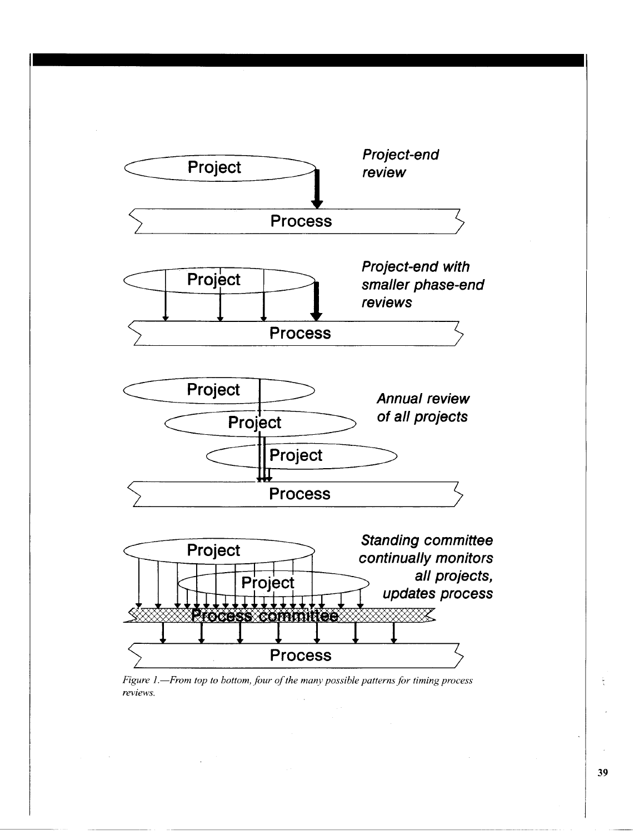

*Figure 1.*—*From top to bottom, four of the many possible patterns for <i>timing process reviews.*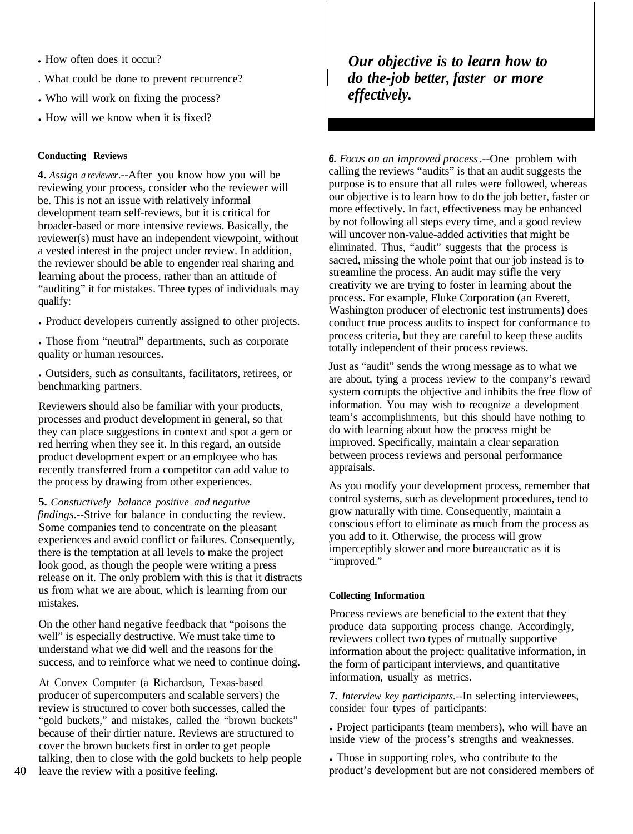- . How often does it occur?
- . What could be done to prevent recurrence?
- . Who will work on fixing the process?
- How will we know when it is fixed?

#### **Conducting Reviews**

**4.** *Assign a reviewer*.--After you know how you will be reviewing your process, consider who the reviewer will be. This is not an issue with relatively informal development team self-reviews, but it is critical for broader-based or more intensive reviews. Basically, the reviewer(s) must have an independent viewpoint, without a vested interest in the project under review. In addition, the reviewer should be able to engender real sharing and learning about the process, rather than an attitude of "auditing" it for mistakes. Three types of individuals may qualify:

• Product developers currently assigned to other projects.

• Those from "neutral" departments, such as corporate quality or human resources.

<sup>l</sup>Outsiders, such as consultants, facilitators, retirees, or benchmarking partners.

Reviewers should also be familiar with your products, processes and product development in general, so that they can place suggestions in context and spot a gem or red herring when they see it. In this regard, an outside product development expert or an employee who has recently transferred from a competitor can add value to the process by drawing from other experiences.

**5.** *Constuctively balance positive and negutive findings*.--Strive for balance in conducting the review. Some companies tend to concentrate on the pleasant experiences and avoid conflict or failures. Consequently, there is the temptation at all levels to make the project look good, as though the people were writing a press release on it. The only problem with this is that it distracts us from what we are about, which is learning from our mistakes.

On the other hand negative feedback that "poisons the well" is especially destructive. We must take time to understand what we did well and the reasons for the success, and to reinforce what we need to continue doing.

At Convex Computer (a Richardson, Texas-based producer of supercomputers and scalable servers) the review is structured to cover both successes, called the "gold buckets," and mistakes, called the "brown buckets" because of their dirtier nature. Reviews are structured to cover the brown buckets first in order to get people talking, then to close with the gold buckets to help people

*Our objective is to learn how to <sup>I</sup> do the-job better, faster or more effectively.*

*6. Focus on an improved process*.--One problem with calling the reviews "audits" is that an audit suggests the purpose is to ensure that all rules were followed, whereas our objective is to learn how to do the job better, faster or more effectively. In fact, effectiveness may be enhanced by not following all steps every time, and a good review will uncover non-value-added activities that might be eliminated. Thus, "audit" suggests that the process is sacred, missing the whole point that our job instead is to streamline the process. An audit may stifle the very creativity we are trying to foster in learning about the process. For example, Fluke Corporation (an Everett, Washington producer of electronic test instruments) does conduct true process audits to inspect for conformance to process criteria, but they are careful to keep these audits totally independent of their process reviews.

Just as "audit" sends the wrong message as to what we are about, tying a process review to the company's reward system corrupts the objective and inhibits the free flow of information. You may wish to recognize a development team's accomplishments, but this should have nothing to do with learning about how the process might be improved. Specifically, maintain a clear separation between process reviews and personal performance appraisals.

As you modify your development process, remember that control systems, such as development procedures, tend to grow naturally with time. Consequently, maintain a conscious effort to eliminate as much from the process as you add to it. Otherwise, the process will grow imperceptibly slower and more bureaucratic as it is "improved."

### **Collecting Information**

Process reviews are beneficial to the extent that they produce data supporting process change. Accordingly, reviewers collect two types of mutually supportive information about the project: qualitative information, in the form of participant interviews, and quantitative information, usually as metrics.

**7.** *Interview key participants.*--In selecting interviewees, consider four types of participants:

• Project participants (team members), who will have an inside view of the process's strengths and weaknesses.

<sup>l</sup>Those in supporting roles, who contribute to the product's development but are not considered members of

40 leave the review with a positive feeling.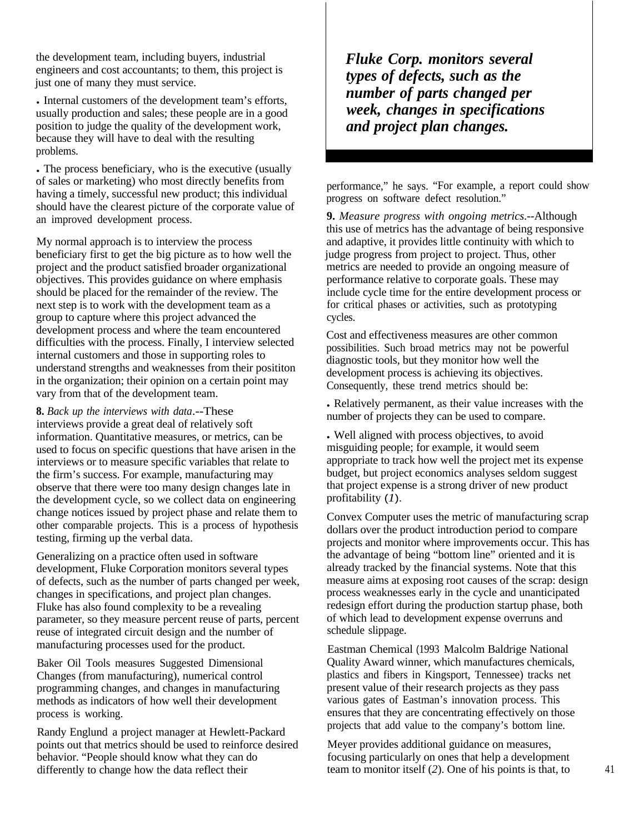the development team, including buyers, industrial engineers and cost accountants; to them, this project is just one of many they must service.

Internal customers of the development team's efforts, usually production and sales; these people are in a good position to judge the quality of the development work, because they will have to deal with the resulting problems.

If the process beneficiary, who is the executive (usually of sales or marketing) who most directly benefits from having a timely, successful new product; this individual should have the clearest picture of the corporate value of an improved development process.

My normal approach is to interview the process beneficiary first to get the big picture as to how well the project and the product satisfied broader organizational objectives. This provides guidance on where emphasis should be placed for the remainder of the review. The next step is to work with the development team as a group to capture where this project advanced the development process and where the team encountered difficulties with the process. Finally, I interview selected internal customers and those in supporting roles to understand strengths and weaknesses from their posititon in the organization; their opinion on a certain point may vary from that of the development team.

**8.** *Back up the interviews with data*.--These interviews provide a great deal of relatively soft information. Quantitative measures, or metrics, can be used to focus on specific questions that have arisen in the interviews or to measure specific variables that relate to the firm's success. For example, manufacturing may observe that there were too many design changes late in the development cycle, so we collect data on engineering change notices issued by project phase and relate them to other comparable projects. This is a process of hypothesis testing, firming up the verbal data.

Generalizing on a practice often used in software development, Fluke Corporation monitors several types of defects, such as the number of parts changed per week, changes in specifications, and project plan changes. Fluke has also found complexity to be a revealing parameter, so they measure percent reuse of parts, percent reuse of integrated circuit design and the number of manufacturing processes used for the product.

Baker Oil Tools measures Suggested Dimensional Changes (from manufacturing), numerical control programming changes, and changes in manufacturing methods as indicators of how well their development process is working.

Randy Englund a project manager at Hewlett-Packard points out that metrics should be used to reinforce desired behavior. "People should know what they can do differently to change how the data reflect their

*Fluke Corp. monitors several types of defects, such as the number of parts changed per week, changes in specifications and project plan changes.*

performance," he says. "For example, a report could show progress on software defect resolution."

1

**9.** *Measure progress with ongoing metrics*.--Although this use of metrics has the advantage of being responsive and adaptive, it provides little continuity with which to judge progress from project to project. Thus, other metrics are needed to provide an ongoing measure of performance relative to corporate goals. These may include cycle time for the entire development process or for critical phases or activities, such as prototyping cycles.

Cost and effectiveness measures are other common possibilities. Such broad metrics may not be powerful diagnostic tools, but they monitor how well the development process is achieving its objectives. Consequently, these trend metrics should be:

• Relatively permanent, as their value increases with the number of projects they can be used to compare.

. Well aligned with process objectives, to avoid misguiding people; for example, it would seem appropriate to track how well the project met its expense budget, but project economics analyses seldom suggest that project expense is a strong driver of new product profitability (*1*).

Convex Computer uses the metric of manufacturing scrap dollars over the product introduction period to compare projects and monitor where improvements occur. This has the advantage of being "bottom line" oriented and it is already tracked by the financial systems. Note that this measure aims at exposing root causes of the scrap: design process weaknesses early in the cycle and unanticipated redesign effort during the production startup phase, both of which lead to development expense overruns and schedule slippage.

Eastman Chemical (1993 Malcolm Baldrige National Quality Award winner, which manufactures chemicals, plastics and fibers in Kingsport, Tennessee) tracks net present value of their research projects as they pass various gates of Eastman's innovation process. This ensures that they are concentrating effectively on those projects that add value to the company's bottom line.

Meyer provides additional guidance on measures, focusing particularly on ones that help a development team to monitor itself (*2*). One of his points is that, to 41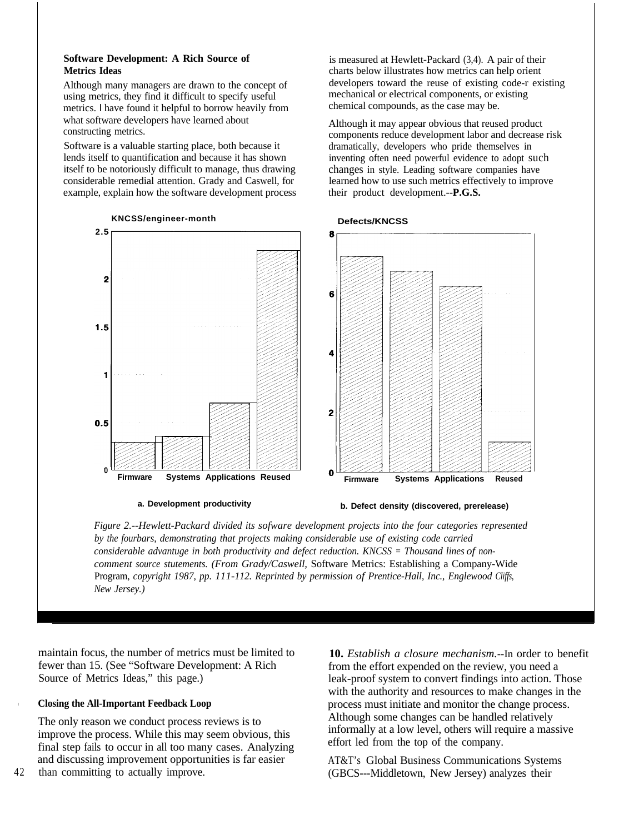## **Software Development: A Rich Source of Metrics Ideas**

Although many managers are drawn to the concept of using metrics, they find it difficult to specify useful metrics. I have found it helpful to borrow heavily from what software developers have learned about constructing metrics.

Software is a valuable starting place, both because it lends itself to quantification and because it has shown itself to be notoriously difficult to manage, thus drawing considerable remedial attention. Grady and Caswell, for example, explain how the software development process

is measured at Hewlett-Packard (3,4). A pair of their charts below illustrates how metrics can help orient developers toward the reuse of existing code-r existing mechanical or electrical components, or existing chemical compounds, as the case may be.

Although it may appear obvious that reused product components reduce development labor and decrease risk dramatically, developers who pride themselves in inventing often need powerful evidence to adopt such changes in style. Leading software companies have learned how to use such metrics effectively to improve their product development.--**P.G.S.**

#### **Defects/KNCSS**



*Figure 2.--Hewlett-Packard divided its sofware development projects into the four categories represented by the fourbars, demonstrating that projects making considerable use of existing code carried considerable advantuge in both productivity and defect reduction. KNCSS = Thousand lines of noncomment source stutements. (From Grady/Caswell,* Software Metrics: Establishing a Company-Wide Program, *copyright 1987, pp. 111-112. Reprinted by permission of Prentice-Hall, Inc., Englewood Cliffs, New Jersey.)*

maintain focus, the number of metrics must be limited to fewer than 15. (See "Software Development: A Rich Source of Metrics Ideas," this page.)

### <sup>I</sup> **Closing the All-Important Feedback Loop**

The only reason we conduct process reviews is to improve the process. While this may seem obvious, this final step fails to occur in all too many cases. Analyzing and discussing improvement opportunities is far easier

42 than committing to actually improve.

**10.** *Establish a closure mechanism.--*In order to benefit from the effort expended on the review, you need a leak-proof system to convert findings into action. Those with the authority and resources to make changes in the process must initiate and monitor the change process. Although some changes can be handled relatively informally at a low level, others will require a massive effort led from the top of the company.

AT&T's Global Business Communications Systems (GBCS---Middletown, New Jersey) analyzes their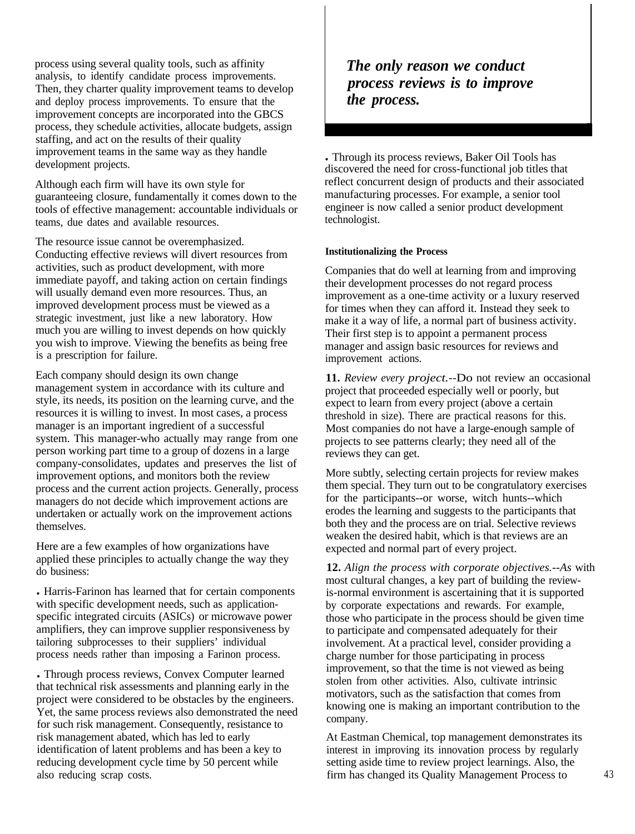process using several quality tools, such as affinity analysis, to identify candidate process improvements. Then, they charter quality improvement teams to develop and deploy process improvements. To ensure that the improvement concepts are incorporated into the GBCS process, they schedule activities, allocate budgets, assign staffing, and act on the results of their quality improvement teams in the same way as they handle development projects.

Although each firm will have its own style for guaranteeing closure, fundamentally it comes down to the tools of effective management: accountable individuals or teams, due dates and available resources.

The resource issue cannot be overemphasized. Conducting effective reviews will divert resources from activities, such as product development, with more immediate payoff, and taking action on certain findings will usually demand even more resources. Thus, an improved development process must be viewed as a strategic investment, just like a new laboratory. How much you are willing to invest depends on how quickly you wish to improve. Viewing the benefits as being free is a prescription for failure.

Each company should design its own change management system in accordance with its culture and style, its needs, its position on the learning curve, and the resources it is willing to invest. In most cases, a process manager is an important ingredient of a successful system. This manager-who actually may range from one person working part time to a group of dozens in a large company-consolidates, updates and preserves the list of improvement options, and monitors both the review process and the current action projects. Generally, process managers do not decide which improvement actions are undertaken or actually work on the improvement actions themselves.

Here are a few examples of how organizations have applied these principles to actually change the way they do business:

• Harris-Farinon has learned that for certain components with specific development needs, such as applicationspecific integrated circuits (ASICs) or microwave power amplifiers, they can improve supplier responsiveness by tailoring subprocesses to their suppliers' individual process needs rather than imposing a Farinon process.

• Through process reviews, Convex Computer learned that technical risk assessments and planning early in the project were considered to be obstacles by the engineers. Yet, the same process reviews also demonstrated the need for such risk management. Consequently, resistance to risk management abated, which has led to early identification of latent problems and has been a key to reducing development cycle time by 50 percent while also reducing scrap costs.

*The only reason we conduct process reviews is to improve the process.*

• Through its process reviews, Baker Oil Tools has discovered the need for cross-functional job titles that reflect concurrent design of products and their associated manufacturing processes. For example, a senior tool engineer is now called a senior product development technologist.

#### **Institutionalizing the Process**

Companies that do well at learning from and improving their development processes do not regard process improvement as a one-time activity or a luxury reserved for times when they can afford it. Instead they seek to make it a way of life, a normal part of business activity. Their first step is to appoint a permanent process manager and assign basic resources for reviews and improvement actions.

**11.** *Review every project.*--Do not review an occasional project that proceeded especially well or poorly, but expect to learn from every project (above a certain threshold in size). There are practical reasons for this. Most companies do not have a large-enough sample of projects to see patterns clearly; they need all of the reviews they can get.

More subtly, selecting certain projects for review makes them special. They turn out to be congratulatory exercises for the participants--or worse, witch hunts--which erodes the learning and suggests to the participants that both they and the process are on trial. Selective reviews weaken the desired habit, which is that reviews are an expected and normal part of every project.

**12.** *Align the process with corporate objectives.--As* with most cultural changes, a key part of building the reviewis-normal environment is ascertaining that it is supported by corporate expectations and rewards. For example, those who participate in the process should be given time to participate and compensated adequately for their involvement. At a practical level, consider providing a charge number for those participating in process improvement, so that the time is not viewed as being stolen from other activities. Also, cultivate intrinsic motivators, such as the satisfaction that comes from knowing one is making an important contribution to the company.

At Eastman Chemical, top management demonstrates its interest in improving its innovation process by regularly setting aside time to review project learnings. Also, the firm has changed its Quality Management Process to 43